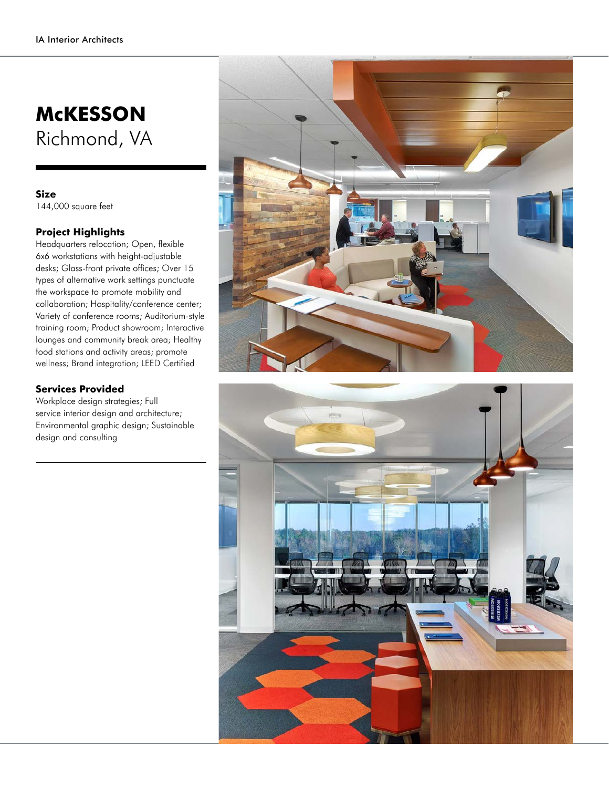## **McKESSON** Richmond, VA

## **Size**

144,000 square feet

## **Project Highlights**

Headquarters relocation; Open, flexible 6x6 workstations with height-adjustable desks; Glass-front private offices; Over 15 types of alternative work settings punctuate the workspace to promote mobility and collaboration; Hospitality/conference center; Variety of conference rooms; Auditorium-style training room; Product showroom; Interactive lounges and community break area; Healthy food stations and activity areas; promote wellness; Brand integration; LEED Certified

## **Services Provided**

Workplace design strategies; Full service interior design and architecture; Environmental graphic design; Sustainable design and consulting